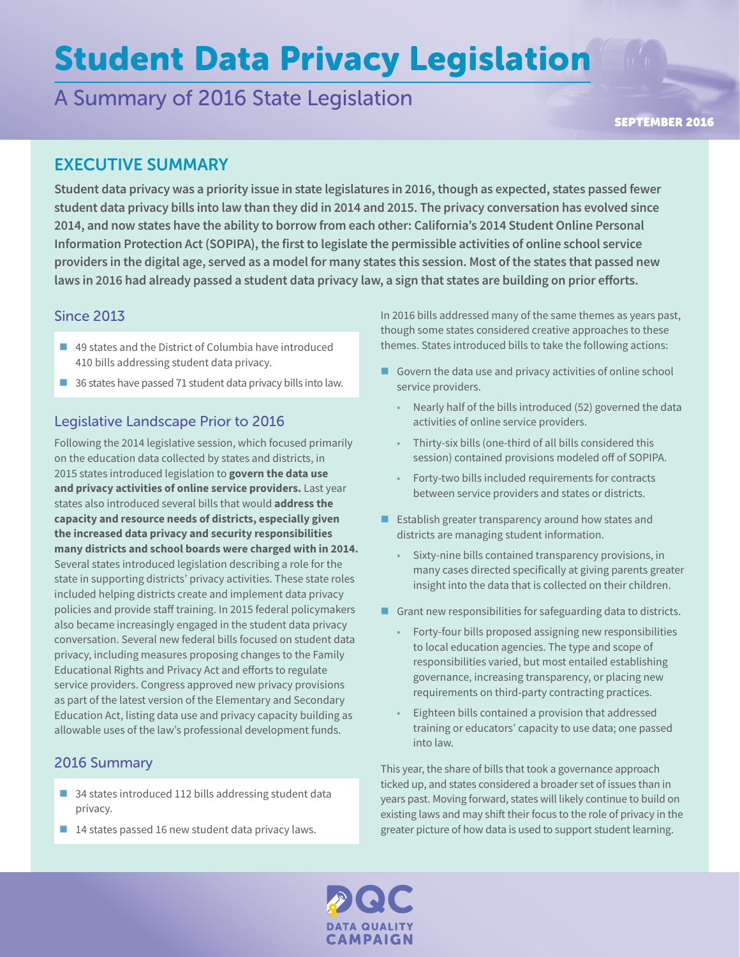# Student Data Privacy Legislation

## A Summary of 2016 State Legislation

SEPTEMBER 2016

## EXECUTIVE SUMMARY

**Student data privacy was a priority issue in state legislatures in 2016, though as expected, states passed fewer student data privacy bills into law than they did in 2014 and 2015. The privacy conversation has evolved since 2014, and now states have the ability to borrow from each other: California's 2014 Student Online Personal Information Protection Act (SOPIPA), the first to legislate the permissible activities of online school service providers in the digital age, served as a model for many states this session. Most of the states that passed new laws in 2016 had already passed a student data privacy law, a sign that states are building on prior efforts.** 

## Since 2013

- 49 states and the District of Columbia have introduced 410 bills addressing student data privacy.
- 36 states have passed 71 student data privacy bills into law.

## Legislative Landscape Prior to 2016

Following the 2014 legislative session, which focused primarily on the education data collected by states and districts, in 2015 states introduced legislation to **govern the data use and privacy activities of online service providers.** Last year states also introduced several bills that would **address the capacity and resource needs of districts, especially given the increased data privacy and security responsibilities many districts and school boards were charged with in 2014.**  Several states introduced legislation describing a role for the state in supporting districts' privacy activities. These state roles included helping districts create and implement data privacy policies and provide staff training. In 2015 federal policymakers also became increasingly engaged in the student data privacy conversation. Several new federal bills focused on student data privacy, including measures proposing changes to the Family Educational Rights and Privacy Act and efforts to regulate service providers. Congress approved new privacy provisions as part of the latest version of the Elementary and Secondary Education Act, listing data use and privacy capacity building as allowable uses of the law's professional development funds.

## 2016 Summary

- 34 states introduced 112 bills addressing student data privacy.
- $\blacksquare$  14 states passed 16 new student data privacy laws.

In 2016 bills addressed many of the same themes as years past, though some states considered creative approaches to these themes. States introduced bills to take the following actions:

- Govern the data use and privacy activities of online school service providers.
	- Nearly half of the bills introduced (52) governed the data activities of online service providers.
	- Thirty-six bills (one-third of all bills considered this session) contained provisions modeled off of SOPIPA.
	- Forty-two bills included requirements for contracts between service providers and states or districts.
- $\blacksquare$  Establish greater transparency around how states and districts are managing student information.
	- Sixty-nine bills contained transparency provisions, in many cases directed specifically at giving parents greater insight into the data that is collected on their children.
- Grant new responsibilities for safeguarding data to districts.
	- Forty-four bills proposed assigning new responsibilities to local education agencies. The type and scope of responsibilities varied, but most entailed establishing governance, increasing transparency, or placing new requirements on third-party contracting practices.
	- Eighteen bills contained a provision that addressed training or educators' capacity to use data; one passed into law.

This year, the share of bills that took a governance approach ticked up, and states considered a broader set of issues than in years past. Moving forward, states will likely continue to build on existing laws and may shift their focus to the role of privacy in the greater picture of how data is used to support student learning.

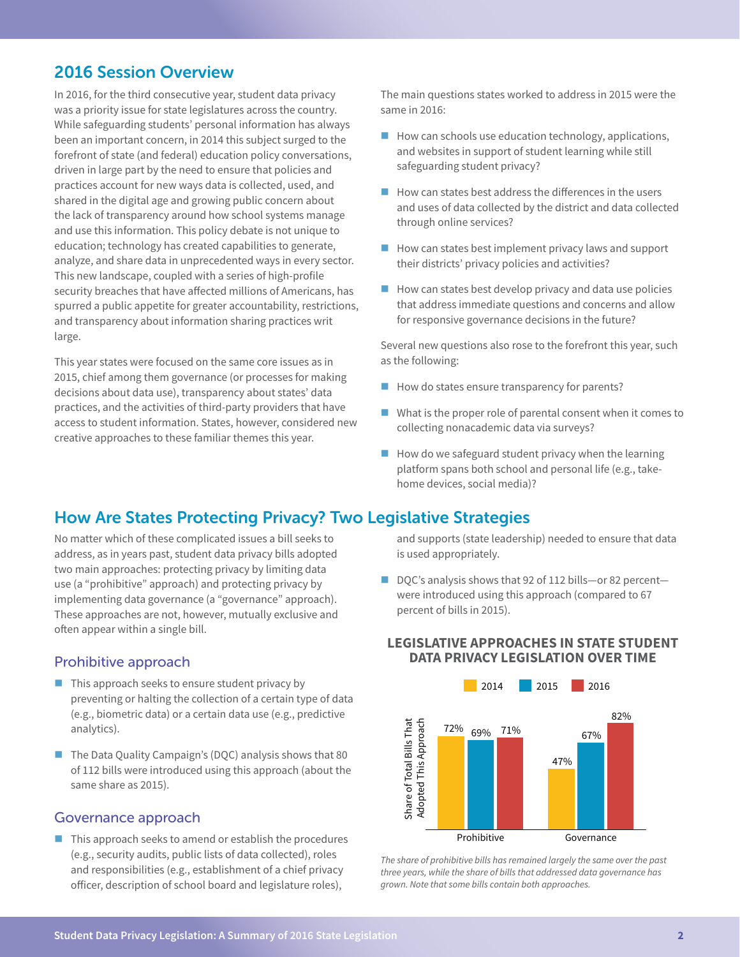## 2016 Session Overview

In 2016, for the third consecutive year, student data privacy was a priority issue for state legislatures across the country. While safeguarding students' personal information has always been an important concern, in 2014 this subject surged to the forefront of state (and federal) education policy conversations, driven in large part by the need to ensure that policies and practices account for new ways data is collected, used, and shared in the digital age and growing public concern about the lack of transparency around how school systems manage and use this information. This policy debate is not unique to education; technology has created capabilities to generate, analyze, and share data in unprecedented ways in every sector. This new landscape, coupled with a series of high-profile security breaches that have affected millions of Americans, has spurred a public appetite for greater accountability, restrictions, and transparency about information sharing practices writ large.

This year states were focused on the same core issues as in 2015, chief among them governance (or processes for making decisions about data use), transparency about states' data practices, and the activities of third-party providers that have access to student information. States, however, considered new creative approaches to these familiar themes this year.

The main questions states worked to address in 2015 were the same in 2016:

- $\blacksquare$  How can schools use education technology, applications, and websites in support of student learning while still safeguarding student privacy?
- $\blacksquare$  How can states best address the differences in the users and uses of data collected by the district and data collected through online services?
- $\blacksquare$  How can states best implement privacy laws and support their districts' privacy policies and activities?
- $\blacksquare$  How can states best develop privacy and data use policies that address immediate questions and concerns and allow for responsive governance decisions in the future?

Several new questions also rose to the forefront this year, such as the following:

- $\blacksquare$  How do states ensure transparency for parents?
- $\blacksquare$  What is the proper role of parental consent when it comes to collecting nonacademic data via surveys?
- $\blacksquare$  How do we safeguard student privacy when the learning platform spans both school and personal life (e.g., takehome devices, social media)?

## How Are States Protecting Privacy? Two Legislative Strategies

No matter which of these complicated issues a bill seeks to address, as in years past, student data privacy bills adopted two main approaches: protecting privacy by limiting data use (a "prohibitive" approach) and protecting privacy by implementing data governance (a "governance" approach). These approaches are not, however, mutually exclusive and often appear within a single bill.

#### Prohibitive approach

- $\blacksquare$  This approach seeks to ensure student privacy by preventing or halting the collection of a certain type of data (e.g., biometric data) or a certain data use (e.g., predictive analytics).
- $\blacksquare$  The Data Quality Campaign's (DQC) analysis shows that 80 of 112 bills were introduced using this approach (about the same share as 2015).

#### Governance approach

 $\blacksquare$  This approach seeks to amend or establish the procedures (e.g., security audits, public lists of data collected), roles and responsibilities (e.g., establishment of a chief privacy officer, description of school board and legislature roles),

and supports (state leadership) needed to ensure that data is used appropriately.

■ DQC's analysis shows that 92 of 112 bills—or 82 percent were introduced using this approach (compared to 67 percent of bills in 2015).

#### **LEGISLATIVE APPROACHES IN STATE STUDENT DATA PRIVACY LEGISLATION OVER TIME**



*The share of prohibitive bills has remained largely the same over the past three years, while the share of bills that addressed data governance has grown. Note that some bills contain both approaches.*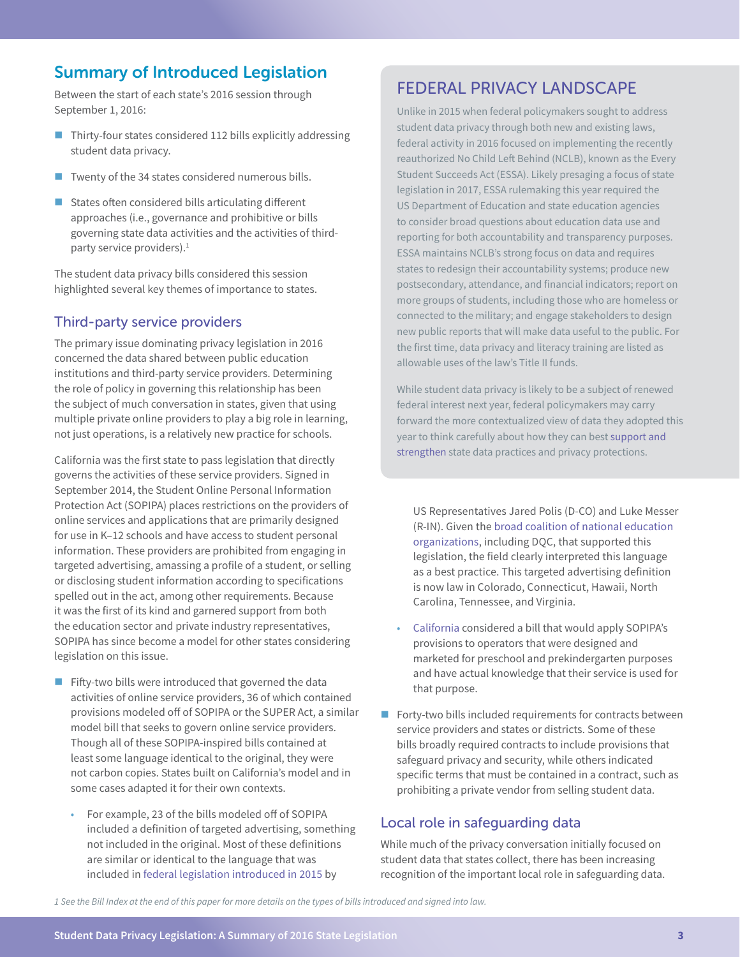## Summary of Introduced Legislation

Between the start of each state's 2016 session through September 1, 2016:

- $\blacksquare$  Thirty-four states considered 112 bills explicitly addressing student data privacy.
- $\blacksquare$  Twenty of the 34 states considered numerous bills.
- $\blacksquare$  States often considered bills articulating different approaches (i.e., governance and prohibitive or bills governing state data activities and the activities of thirdparty service providers).<sup>1</sup>

The student data privacy bills considered this session highlighted several key themes of importance to states.

#### Third-party service providers

The primary issue dominating privacy legislation in 2016 concerned the data shared between public education institutions and third-party service providers. Determining the role of policy in governing this relationship has been the subject of much conversation in states, given that using multiple private online providers to play a big role in learning, not just operations, is a relatively new practice for schools.

California was the first state to pass legislation that directly governs the activities of these service providers. Signed in September 2014, the Student Online Personal Information Protection Act (SOPIPA) places restrictions on the providers of online services and applications that are primarily designed for use in K–12 schools and have access to student personal information. These providers are prohibited from engaging in targeted advertising, amassing a profile of a student, or selling or disclosing student information according to specifications spelled out in the act, among other requirements. Because it was the first of its kind and garnered support from both the education sector and private industry representatives, SOPIPA has since become a model for other states considering legislation on this issue.

- $\blacksquare$  Fifty-two bills were introduced that governed the data activities of online service providers, 36 of which contained provisions modeled off of SOPIPA or the SUPER Act, a similar model bill that seeks to govern online service providers. Though all of these SOPIPA-inspired bills contained at least some language identical to the original, they were not carbon copies. States built on California's model and in some cases adapted it for their own contexts.
	- For example, 23 of the bills modeled off of SOPIPA included a definition of targeted advertising, something not included in the original. Most of these definitions are similar or identical to the language that was included in [federal legislation introduced in 2015](http://polis.house.gov/uploadedfiles/messer_polis_student_data_privacy_final.pdf) by

## FEDERAL PRIVACY LANDSCAPE

Unlike in 2015 when federal policymakers sought to address student data privacy through both new and existing laws, federal activity in 2016 focused on implementing the recently reauthorized No Child Left Behind (NCLB), known as the Every Student Succeeds Act (ESSA). Likely presaging a focus of state legislation in 2017, ESSA rulemaking this year required the US Department of Education and state education agencies to consider broad questions about education data use and reporting for both accountability and transparency purposes. ESSA maintains NCLB's strong focus on data and requires states to redesign their accountability systems; produce new postsecondary, attendance, and financial indicators; report on more groups of students, including those who are homeless or connected to the military; and engage stakeholders to design new public reports that will make data useful to the public. For the first time, data privacy and literacy training are listed as allowable uses of the law's Title II funds.

While student data privacy is likely to be a subject of renewed federal interest next year, federal policymakers may carry forward the more contextualized view of data they adopted this year to think carefully about how they can best [support and](http://dataqualitycampaign.org/resource/federal-actions-make-data-work-students/)  [strengthen](http://dataqualitycampaign.org/resource/federal-actions-make-data-work-students/) state data practices and privacy protections.

US Representatives Jared Polis (D-CO) and Luke Messer (R-IN). Given the [broad coalition of national education](http://blogs.edweek.org/edweek/DigitalEducation/2015/04/messer-polis_data_privacy_bill_reaction.html)  [organizations](http://blogs.edweek.org/edweek/DigitalEducation/2015/04/messer-polis_data_privacy_bill_reaction.html), including DQC, that supported this legislation, the field clearly interpreted this language as a best practice. This targeted advertising definition is now law in Colorado, Connecticut, Hawaii, North Carolina, Tennessee, and Virginia.

- [California](http://www.cqstatetrack.com/texis/redir?id=56c81d3a11a) considered a bill that would apply SOPIPA's provisions to operators that were designed and marketed for preschool and prekindergarten purposes and have actual knowledge that their service is used for that purpose.
- $\blacksquare$  Forty-two bills included requirements for contracts between service providers and states or districts. Some of these bills broadly required contracts to include provisions that safeguard privacy and security, while others indicated specific terms that must be contained in a contract, such as prohibiting a private vendor from selling student data.

#### Local role in safeguarding data

While much of the privacy conversation initially focused on student data that states collect, there has been increasing recognition of the important local role in safeguarding data.

*1 See the Bill Index at the end of this paper for more details on the types of bills introduced and signed into law.*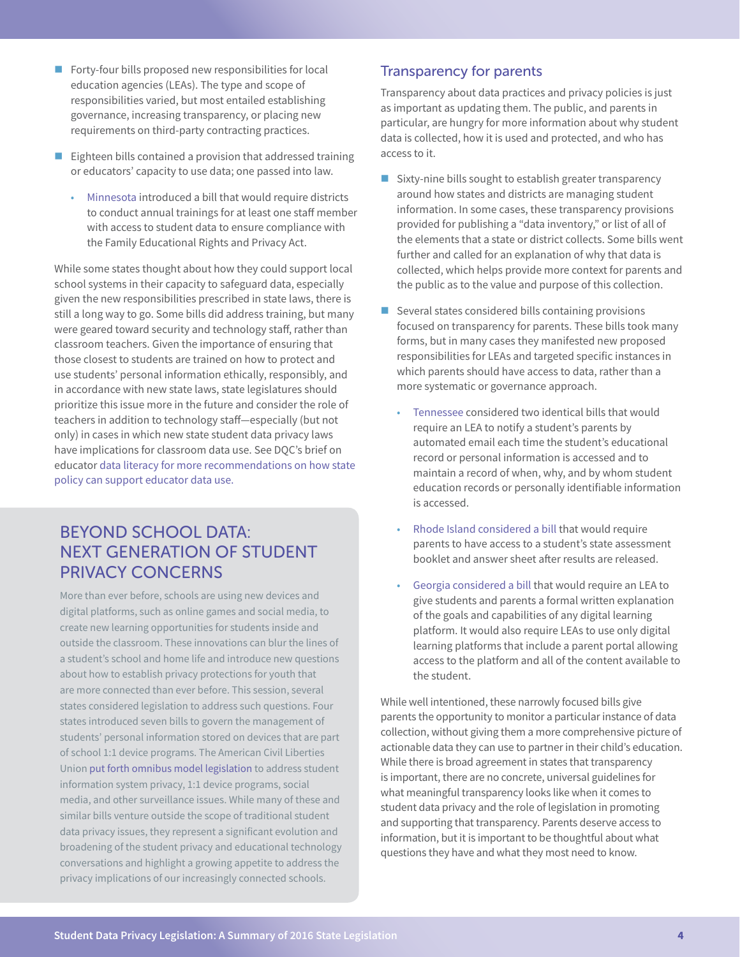- $\blacksquare$  Forty-four bills proposed new responsibilities for local education agencies (LEAs). The type and scope of responsibilities varied, but most entailed establishing governance, increasing transparency, or placing new requirements on third-party contracting practices.
- $\blacksquare$  Eighteen bills contained a provision that addressed training or educators' capacity to use data; one passed into law.
	- [Minnesota](https://legiscan.com/MN/text/HF3704/2015) introduced a bill that would require districts to conduct annual trainings for at least one staff member with access to student data to ensure compliance with the Family Educational Rights and Privacy Act.

While some states thought about how they could support local school systems in their capacity to safeguard data, especially given the new responsibilities prescribed in state laws, there is still a long way to go. Some bills did address training, but many were geared toward security and technology staff, rather than classroom teachers. Given the importance of ensuring that those closest to students are trained on how to protect and use students' personal information ethically, responsibly, and in accordance with new state laws, state legislatures should prioritize this issue more in the future and consider the role of teachers in addition to technology staff—especially (but not only) in cases in which new state student data privacy laws have implications for classroom data use. See DQC's brief on educator [data literacy for more recommendations on how state](http://dataqualitycampaign.org/resource/teacher-data-literacy-time/)  [policy can support educator data use.](http://dataqualitycampaign.org/resource/teacher-data-literacy-time/) 

## BEYOND SCHOOL DATA: NEXT GENERATION OF STUDENT PRIVACY CONCERNS

More than ever before, schools are using new devices and digital platforms, such as online games and social media, to create new learning opportunities for students inside and outside the classroom. These innovations can blur the lines of a student's school and home life and introduce new questions about how to establish privacy protections for youth that are more connected than ever before. This session, several states considered legislation to address such questions. Four states introduced seven bills to govern the management of students' personal information stored on devices that are part of school 1:1 device programs. The American Civil Liberties Union [put forth](https://www.aclu.org/legal-document/student-data-privacy-omnibus-model-legislation) [omnibus model legislation](https://www.aclu.org/legal-document/student-data-privacy-omnibus-model-legislation) to address student information system privacy, 1:1 device programs, social media, and other surveillance issues. While many of these and similar bills venture outside the scope of traditional student data privacy issues, they represent a significant evolution and broadening of the student privacy and educational technology conversations and highlight a growing appetite to address the privacy implications of our increasingly connected schools.

#### Transparency for parents

Transparency about data practices and privacy policies is just as important as updating them. The public, and parents in particular, are hungry for more information about why student data is collected, how it is used and protected, and who has access to it.

- $\blacksquare$  Sixty-nine bills sought to establish greater transparency around how states and districts are managing student information. In some cases, these transparency provisions provided for publishing a "data inventory," or list of all of the elements that a state or district collects. Some bills went further and called for an explanation of why that data is collected, which helps provide more context for parents and the public as to the value and purpose of this collection.
- $\blacksquare$  Several states considered bills containing provisions focused on transparency for parents. These bills took many forms, but in many cases they manifested new proposed responsibilities for LEAs and targeted specific instances in which parents should have access to data, rather than a more systematic or governance approach.
	- [Tennessee](https://legiscan.com/TN/text/HB2077/id/1319053/Tennessee-2015-HB2077-Draft.pdf) considered two identical bills that would require an LEA to notify a student's parents by automated email each time the student's educational record or personal information is accessed and to maintain a record of when, why, and by whom student education records or personally identifiable information is accessed.
	- [Rhode Island considered a bill](http://webserver.rilin.state.ri.us/BillText/BillText16/HouseText16/H7297.pdf) that would require parents to have access to a student's state assessment booklet and answer sheet after results are released.
	- [Georgia considered a bill](http://www.cqstatetrack.com/texis/redir?id=56a1e3087f0) that would require an LEA to give students and parents a formal written explanation of the goals and capabilities of any digital learning platform. It would also require LEAs to use only digital learning platforms that include a parent portal allowing access to the platform and all of the content available to the student.

While well intentioned, these narrowly focused bills give parents the opportunity to monitor a particular instance of data collection, without giving them a more comprehensive picture of actionable data they can use to partner in their child's education. While there is broad agreement in states that transparency is important, there are no concrete, universal guidelines for what meaningful transparency looks like when it comes to student data privacy and the role of legislation in promoting and supporting that transparency. Parents deserve access to information, but it is important to be thoughtful about what questions they have and what they most need to know.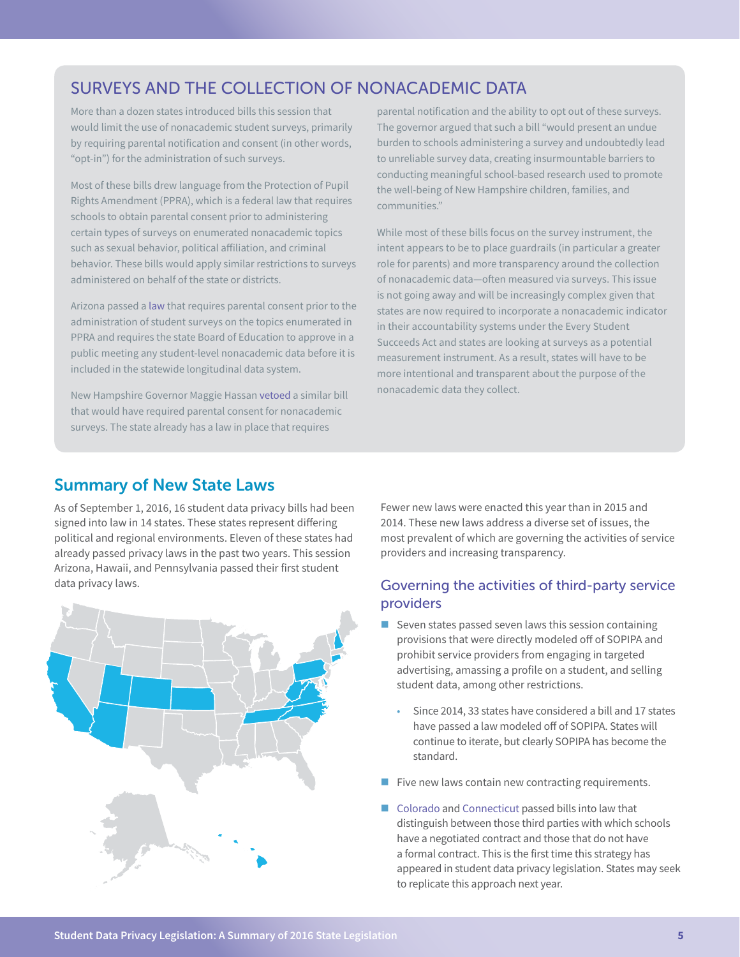## SURVEYS AND THE COLLECTION OF NONACADEMIC DATA

More than a dozen states introduced bills this session that would limit the use of nonacademic student surveys, primarily by requiring parental notification and consent (in other words, "opt-in") for the administration of such surveys.

Most of these bills drew language from the Protection of Pupil Rights Amendment (PPRA), which is a federal law that requires schools to obtain parental consent prior to administering certain types of surveys on enumerated nonacademic topics such as sexual behavior, political affiliation, and criminal behavior. These bills would apply similar restrictions to surveys administered on behalf of the state or districts.

Arizona passed a [law](http://www.cqstatetrack.com/texis/redir?id=5693e6b8214ba&rtype=text&original=y) that requires parental consent prior to the administration of student surveys on the topics enumerated in PPRA and requires the state Board of Education to approve in a public meeting any student-level nonacademic data before it is included in the statewide longitudinal data system.

New Hampshire Governor Maggie Hassan [vetoed](http://governor.nh.gov/media/news/2016/pr-2016-06-21-sb-320.htm) a similar bill that would have required parental consent for nonacademic surveys. The state already has a law in place that requires

parental notification and the ability to opt out of these surveys. The governor argued that such a bill "would present an undue burden to schools administering a survey and undoubtedly lead to unreliable survey data, creating insurmountable barriers to conducting meaningful school-based research used to promote the well-being of New Hampshire children, families, and communities."

While most of these bills focus on the survey instrument, the intent appears to be to place guardrails (in particular a greater role for parents) and more transparency around the collection of nonacademic data—often measured via surveys. This issue is not going away and will be increasingly complex given that states are now required to incorporate a nonacademic indicator in their accountability systems under the Every Student Succeeds Act and states are looking at surveys as a potential measurement instrument. As a result, states will have to be more intentional and transparent about the purpose of the nonacademic data they collect.

#### Summary of New State Laws

As of September 1, 2016, 16 student data privacy bills had been signed into law in 14 states. These states represent differing political and regional environments. Eleven of these states had already passed privacy laws in the past two years. This session Arizona, Hawaii, and Pennsylvania passed their first student data privacy laws.



Fewer new laws were enacted this year than in 2015 and 2014. These new laws address a diverse set of issues, the most prevalent of which are governing the activities of service providers and increasing transparency.

#### Governing the activities of third-party service providers

- $\blacksquare$  Seven states passed seven laws this session containing provisions that were directly modeled off of SOPIPA and prohibit service providers from engaging in targeted advertising, amassing a profile on a student, and selling student data, among other restrictions.
	- Since 2014, 33 states have considered a bill and 17 states have passed a law modeled off of SOPIPA. States will continue to iterate, but clearly SOPIPA has become the standard.
- $\blacksquare$  Five new laws contain new contracting requirements.
- [Colorado](http://www.leg.state.co.us/clics/clics2016a/csl.nsf/fsbillcont/65C31D600337BF8787257F2400644D7C?Open&file=1423_enr.pdf) and [Connecticut](https://www.cga.ct.gov/2016/ACT/pa/2016PA-00189-R00HB-05469-PA.htm) passed bills into law that distinguish between those third parties with which schools have a negotiated contract and those that do not have a formal contract. This is the first time this strategy has appeared in student data privacy legislation. States may seek to replicate this approach next year.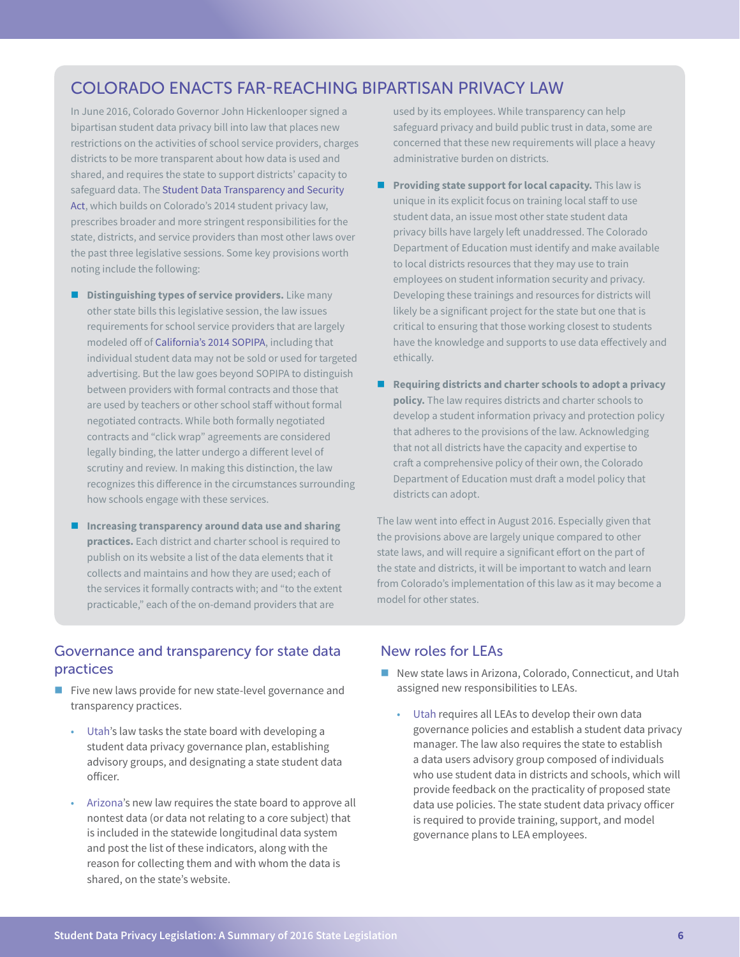## COLORADO ENACTS FAR-REACHING BIPARTISAN PRIVACY LAW

In June 2016, Colorado Governor John Hickenlooper signed a bipartisan student data privacy bill into law that places new restrictions on the activities of school service providers, charges districts to be more transparent about how data is used and shared, and requires the state to support districts' capacity to safeguard data. The [Student Data Transparency and Security](http://www.leg.state.co.us/CLICS/CLICS2016A/csl.nsf/fsbillcont3/65C31D600337BF8787257F2400644D7C?Open&file=1423_signed.pdf)  [Act,](http://www.leg.state.co.us/CLICS/CLICS2016A/csl.nsf/fsbillcont3/65C31D600337BF8787257F2400644D7C?Open&file=1423_signed.pdf) which builds on Colorado's 2014 student privacy law, prescribes broader and more stringent responsibilities for the state, districts, and service providers than most other laws over the past three legislative sessions. Some key provisions worth noting include the following:

- **Distinguishing types of service providers.** Like many other state bills this legislative session, the law issues requirements for school service providers that are largely modeled off of [California's 2014 SOPIPA,](https://leginfo.legislature.ca.gov/faces/billNavClient.xhtml?bill_id=201320140SB1177) including that individual student data may not be sold or used for targeted advertising. But the law goes beyond SOPIPA to distinguish between providers with formal contracts and those that are used by teachers or other school staff without formal negotiated contracts. While both formally negotiated contracts and "click wrap" agreements are considered legally binding, the latter undergo a different level of scrutiny and review. In making this distinction, the law recognizes this difference in the circumstances surrounding how schools engage with these services.
- **Increasing transparency around data use and sharing practices.** Each district and charter school is required to publish on its website a list of the data elements that it collects and maintains and how they are used; each of the services it formally contracts with; and "to the extent practicable," each of the on-demand providers that are

used by its employees. While transparency can help safeguard privacy and build public trust in data, some are concerned that these new requirements will place a heavy administrative burden on districts.

- **Providing state support for local capacity.** This law is unique in its explicit focus on training local staff to use student data, an issue most other state student data privacy bills have largely left unaddressed. The Colorado Department of Education must identify and make available to local districts resources that they may use to train employees on student information security and privacy. Developing these trainings and resources for districts will likely be a significant project for the state but one that is critical to ensuring that those working closest to students have the knowledge and supports to use data effectively and ethically.
- Requiring districts and charter schools to adopt a privacy **policy.** The law requires districts and charter schools to develop a student information privacy and protection policy that adheres to the provisions of the law. Acknowledging that not all districts have the capacity and expertise to craft a comprehensive policy of their own, the Colorado Department of Education must draft a model policy that districts can adopt.

The law went into effect in August 2016. Especially given that the provisions above are largely unique compared to other state laws, and will require a significant effort on the part of the state and districts, it will be important to watch and learn from Colorado's implementation of this law as it may become a model for other states.

#### Governance and transparency for state data practices

- Five new laws provide for new state-level governance and transparency practices.
	- [Utah's](http://www.cqstatetrack.com/texis/redir?id=56c3adf8386e) law tasks the state board with developing a student data privacy governance plan, establishing advisory groups, and designating a state student data officer.
	- [Arizona'](https://legiscan.com/AZ/text/HB2088/2016)s new law requires the state board to approve all nontest data (or data not relating to a core subject) that is included in the statewide longitudinal data system and post the list of these indicators, along with the reason for collecting them and with whom the data is shared, on the state's website.

#### New roles for LEAs

- New state laws in Arizona, Colorado, Connecticut, and Utah assigned new responsibilities to LEAs.
	- [Utah](http://www.cqstatetrack.com/texis/redir?id=56c3adf8386e) requires all LEAs to develop their own data governance policies and establish a student data privacy manager. The law also requires the state to establish a data users advisory group composed of individuals who use student data in districts and schools, which will provide feedback on the practicality of proposed state data use policies. The state student data privacy officer is required to provide training, support, and model governance plans to LEA employees.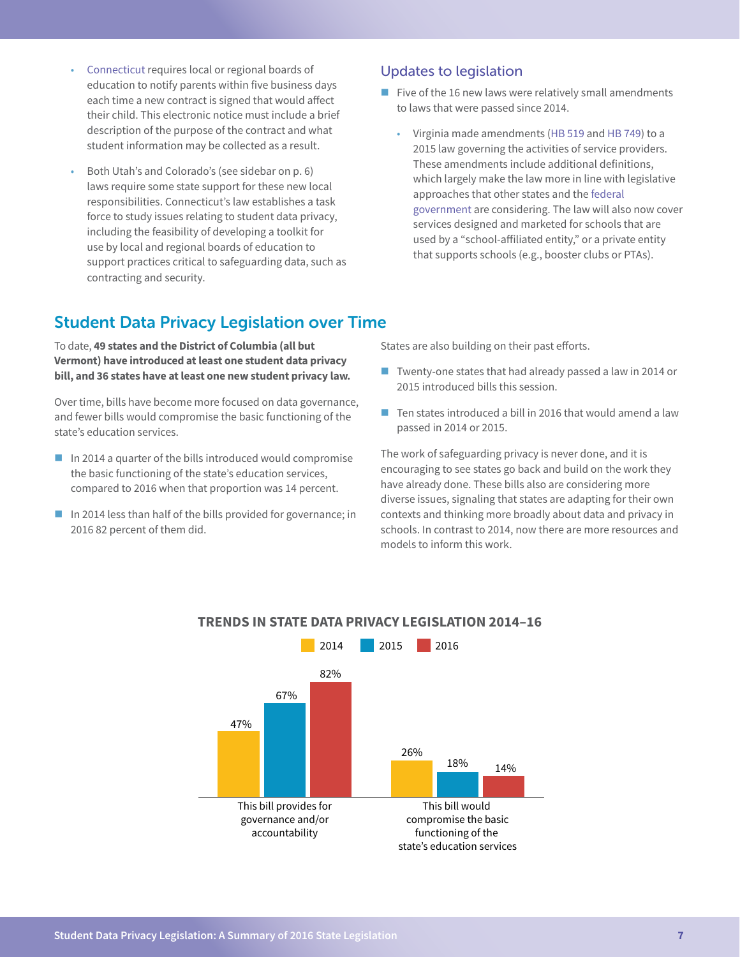- [Connecticut](https://www.cga.ct.gov/2016/ACT/pa/2016PA-00189-R00HB-05469-PA.htm) requires local or regional boards of education to notify parents within five business days each time a new contract is signed that would affect their child. This electronic notice must include a brief description of the purpose of the contract and what student information may be collected as a result.
- Both Utah's and Colorado's (see sidebar on p. 6) laws require some state support for these new local responsibilities. Connecticut's law establishes a task force to study issues relating to student data privacy, including the feasibility of developing a toolkit for use by local and regional boards of education to support practices critical to safeguarding data, such as contracting and security.

## Student Data Privacy Legislation over Time

To date, **49 states and the District of Columbia (all but Vermont) have introduced at least one student data privacy bill, and 36 states have at least one new student privacy law.** 

Over time, bills have become more focused on data governance, and fewer bills would compromise the basic functioning of the state's education services.

- $\blacksquare$  In 2014 a quarter of the bills introduced would compromise the basic functioning of the state's education services, compared to 2016 when that proportion was 14 percent.
- In 2014 less than half of the bills provided for governance; in 2016 82 percent of them did.

#### Updates to legislation

- Five of the 16 new laws were relatively small amendments to laws that were passed since 2014.
	- Virginia made amendments ([HB 519](https://lis.virginia.gov/cgi-bin/legp604.exe?161+sum+HB519) and [HB 749\)](https://lis.virginia.gov/cgi-bin/legp604.exe?ses=161&typ=bil&val=hb749) to a 2015 law governing the activities of service providers. These amendments include additional definitions, which largely make the law more in line with legislative approaches that other states and the [federal](http://blogs.edweek.org/edweek/DigitalEducation/2015/07/federal_student-data-privacy_bill.html)  [government](http://blogs.edweek.org/edweek/DigitalEducation/2015/07/federal_student-data-privacy_bill.html) are considering. The law will also now cover services designed and marketed for schools that are used by a "school-affiliated entity," or a private entity that supports schools (e.g., booster clubs or PTAs).

States are also building on their past efforts.

- Twenty-one states that had already passed a law in 2014 or 2015 introduced bills this session.
- $\blacksquare$  Ten states introduced a bill in 2016 that would amend a law passed in 2014 or 2015.

The work of safeguarding privacy is never done, and it is encouraging to see states go back and build on the work they have already done. These bills also are considering more diverse issues, signaling that states are adapting for their own contexts and thinking more broadly about data and privacy in schools. In contrast to 2014, now there are more resources and models to inform this work.



#### **TRENDS IN STATE DATA PRIVACY LEGISLATION 2014–16**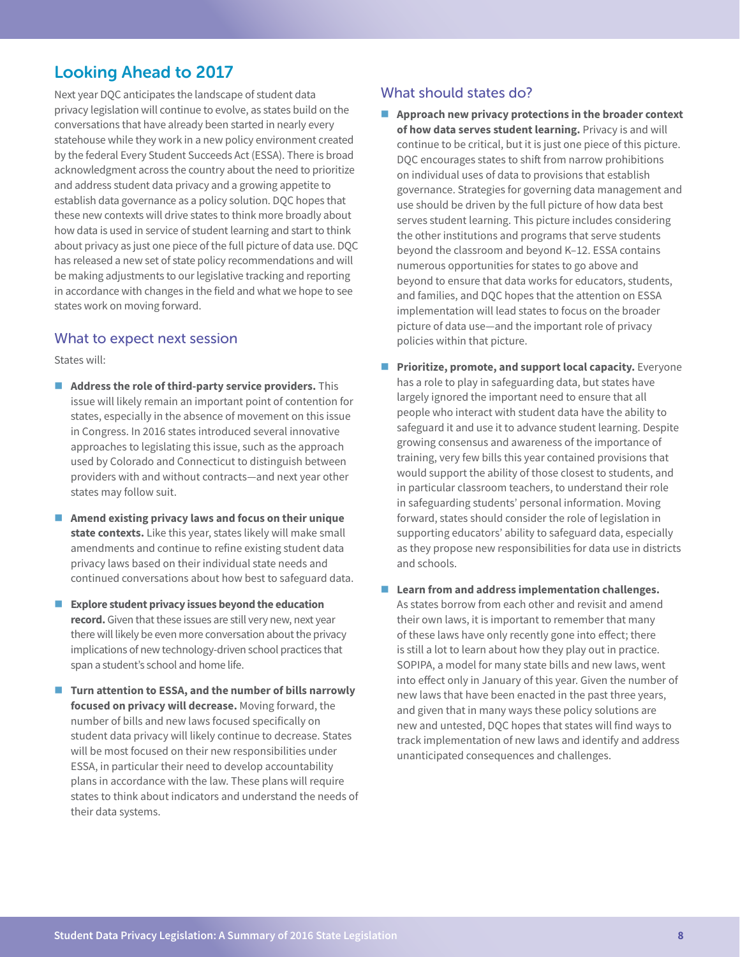## Looking Ahead to 2017

Next year DQC anticipates the landscape of student data privacy legislation will continue to evolve, as states build on the conversations that have already been started in nearly every statehouse while they work in a new policy environment created by the federal Every Student Succeeds Act (ESSA). There is broad acknowledgment across the country about the need to prioritize and address student data privacy and a growing appetite to establish data governance as a policy solution. DQC hopes that these new contexts will drive states to think more broadly about how data is used in service of student learning and start to think about privacy as just one piece of the full picture of data use. DQC has released a new set of state policy recommendations and will be making adjustments to our legislative tracking and reporting in accordance with changes in the field and what we hope to see states work on moving forward.

#### What to expect next session

States will:

- **Address the role of third-party service providers.** This issue will likely remain an important point of contention for states, especially in the absence of movement on this issue in Congress. In 2016 states introduced several innovative approaches to legislating this issue, such as the approach used by Colorado and Connecticut to distinguish between providers with and without contracts—and next year other states may follow suit.
- **Amend existing privacy laws and focus on their unique state contexts.** Like this year, states likely will make small amendments and continue to refine existing student data privacy laws based on their individual state needs and continued conversations about how best to safeguard data.
- **Explore student privacy issues beyond the education record.** Given that these issues are still very new, next year there will likely be even more conversation about the privacy implications of new technology-driven school practices that span a student's school and home life.
- Turn attention to ESSA, and the number of bills narrowly **focused on privacy will decrease.** Moving forward, the number of bills and new laws focused specifically on student data privacy will likely continue to decrease. States will be most focused on their new responsibilities under ESSA, in particular their need to develop accountability plans in accordance with the law. These plans will require states to think about indicators and understand the needs of their data systems.

#### What should states do?

- **Approach new privacy protections in the broader context of how data serves student learning.** Privacy is and will continue to be critical, but it is just one piece of this picture. DQC encourages states to shift from narrow prohibitions on individual uses of data to provisions that establish governance. Strategies for governing data management and use should be driven by the full picture of how data best serves student learning. This picture includes considering the other institutions and programs that serve students beyond the classroom and beyond K–12. ESSA contains numerous opportunities for states to go above and beyond to ensure that data works for educators, students, and families, and DQC hopes that the attention on ESSA implementation will lead states to focus on the broader picture of data use—and the important role of privacy policies within that picture.
- **Prioritize, promote, and support local capacity.** Everyone has a role to play in safeguarding data, but states have largely ignored the important need to ensure that all people who interact with student data have the ability to safeguard it and use it to advance student learning. Despite growing consensus and awareness of the importance of training, very few bills this year contained provisions that would support the ability of those closest to students, and in particular classroom teachers, to understand their role in safeguarding students' personal information. Moving forward, states should consider the role of legislation in supporting educators' ability to safeguard data, especially as they propose new responsibilities for data use in districts and schools.
- Learn from and address implementation challenges. As states borrow from each other and revisit and amend their own laws, it is important to remember that many of these laws have only recently gone into effect; there is still a lot to learn about how they play out in practice. SOPIPA, a model for many state bills and new laws, went into effect only in January of this year. Given the number of new laws that have been enacted in the past three years, and given that in many ways these policy solutions are new and untested, DQC hopes that states will find ways to track implementation of new laws and identify and address unanticipated consequences and challenges.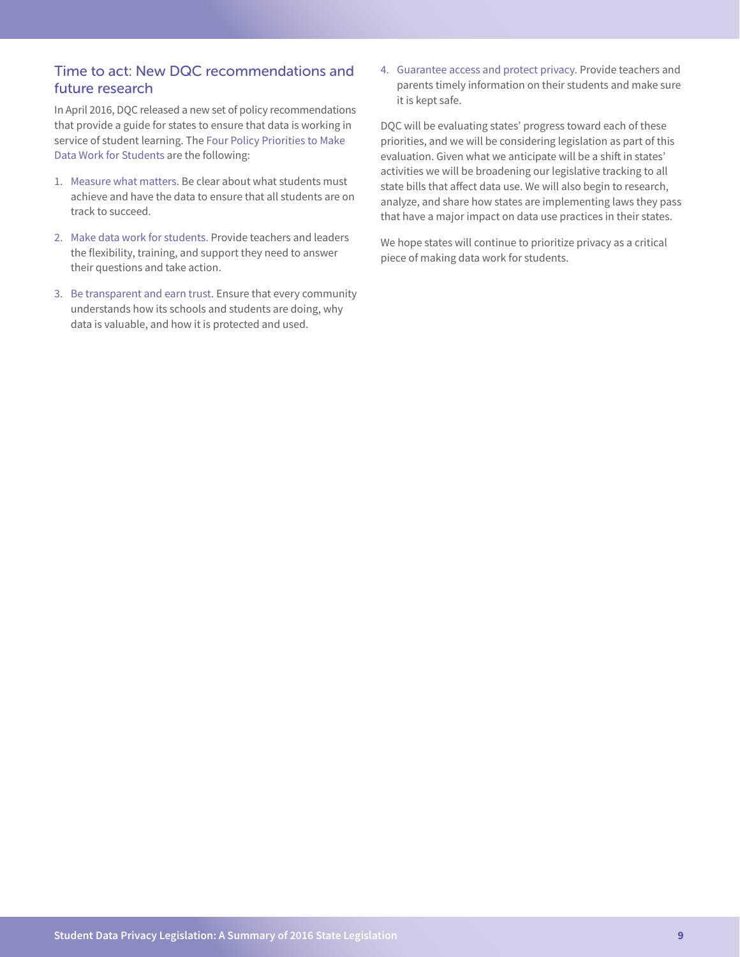### Time to act: New DQC recommendations and future research

In April 2016, DQC released a new set of policy recommendations that provide a guide for states to ensure that data is working in service of student learning. The [Four Policy Priorities to Make](http://dataqualitycampaign.org/resource/four-policy-priorities-make-data-work-students/)  [Data Work for Students](http://dataqualitycampaign.org/resource/four-policy-priorities-make-data-work-students/) are the following:

- 1. [Measure what matters.](http://dataqualitycampaign.org/why-education-data/make-data-work-students/#measure-what-matters) Be clear about what students must achieve and have the data to ensure that all students are on track to succeed.
- 2. [Make data work for students.](http://dataqualitycampaign.org/why-education-data/make-data-work-students/#make-data-use-possible) Provide teachers and leaders the flexibility, training, and support they need to answer their questions and take action.
- 3. [Be transparent and earn trust.](http://dataqualitycampaign.org/why-education-data/make-data-work-students/#be-transparent---earn-trust) Ensure that every community understands how its schools and students are doing, why data is valuable, and how it is protected and used.

4. [Guarantee access and protect privacy.](http://dataqualitycampaign.org/why-education-data/make-data-work-students/#guarantee-access---protect-privacy) Provide teachers and parents timely information on their students and make sure it is kept safe.

DQC will be evaluating states' progress toward each of these priorities, and we will be considering legislation as part of this evaluation. Given what we anticipate will be a shift in states' activities we will be broadening our legislative tracking to all state bills that affect data use. We will also begin to research, analyze, and share how states are implementing laws they pass that have a major impact on data use practices in their states.

We hope states will continue to prioritize privacy as a critical piece of making data work for students.